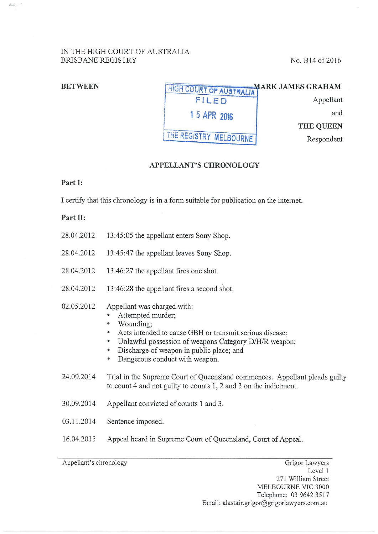# IN THE HIGH COURT OF AUSTRALIA BRISBANE REGISTRY No. B14 of 2016

I

| <b>BETWEEN</b> | <b>HIGH COURT OF AUSTRALIAT</b> | <b>MARK JAMES GRAHAM</b> |
|----------------|---------------------------------|--------------------------|
|                | FILED                           | Appellant                |
|                | 15 APR 2016                     | and                      |
|                |                                 | <b>THE QUEEN</b>         |
|                | THE REGISTRY MELBOURNE          | Respondent               |

### **APPELLANT'S CHRONOLOGY**

## **Part I:**

I certify that this chronology is in a form suitable for publication on the internet.

## **Part II:**

- 28.04.2012 13:45:05 the appellant enters Sony Shop.
- 28.04.2012 13:45:47 the appellant leaves Sony Shop.
- 28.04.2012 13:46:27 the appellant fires one shot.
- 28.04.2012 13:46:28 the appellant fires a second shot.
- 02.05.2012 Appellant was charged with:
	- Attempted murder;
	- Wounding;
	- Acts intended to cause GBH or transmit serious disease;
	- Unlawful possession of weapons Category D/H/R weapon;
	- Discharge of weapon in public place; and
	- Dangerous conduct with weapon.
- 24.09.2014 Trial in the Supreme Court of Queensland commences. Appellant pleads guilty to count 4 and not guilty to counts 1, 2 and 3 on the indictment.
- 30.09.2014 Appellant convicted of counts 1 and 3.
- 03 .11.2014 Sentence imposed.
- 16.04.2015 Appeal heard in Supreme Court of Queensland, Court of Appeal.